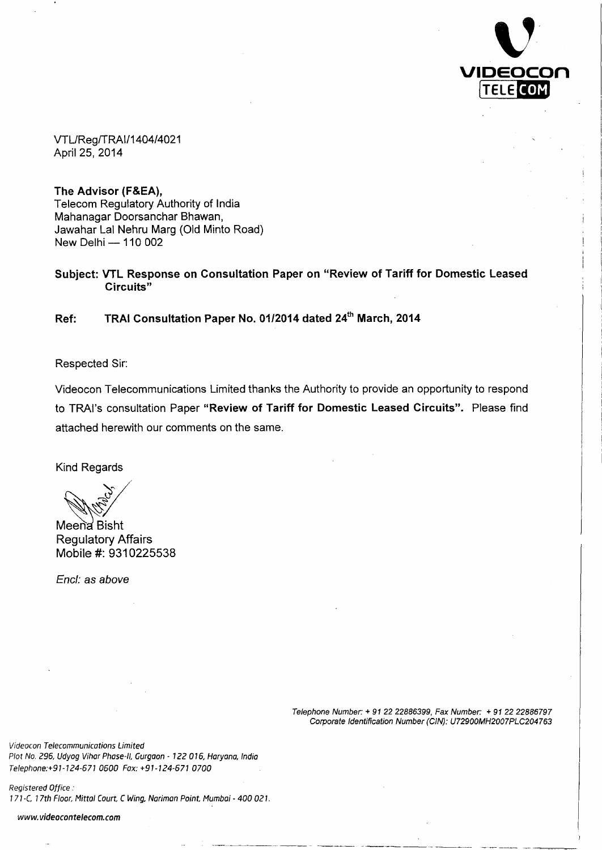

VTL/Reg/TRAI/1404/4021 April 25, 2014

**The Advisor (F&EA),** Telecom Regulatory Authority of India Mahanagar Doorsanchar Bhawan, Jawahar Lal Nehru Marg (Old Minto Road) New Delhi — 110 002

**Subject: VTL Response on Consultation Paper on "Review of Tariff for Domestic Leased Circuits"**

**Ref: TRAI Consultation Paper No. 01/2014 dated 24 th March, 2014**

Respected Sir:

Videocon Telecommunications Limited thanks the Authority to provide an opportunity to respond to TRAI's consultation Paper **"Review of Tariff for Domestic Leased Circuits".** Please find attached herewith our comments on the same.

Kind Regards

Meena Bisht Regulatory Affairs Mobile #: 9310225538

*Encl: as above*

Telephone Number: + 91 22 22886399, Fax Number: + 91 22 22886797 Corporate Identification Number (CIN): U72900MH2007PLC204763

Videocon Telecommunications Limited Plot No. 296, Udyog Vihar Phase-II, Gurgaon - 122 016, Haryana, India Telephone:+91-124-671 0600 Fox: +91-124-571 0700

Registered Office : 171-C, 17th Floor, Mittal Court, C Wing, Narimon Point, Mumboi - 400 021.

www.videocontelecom.com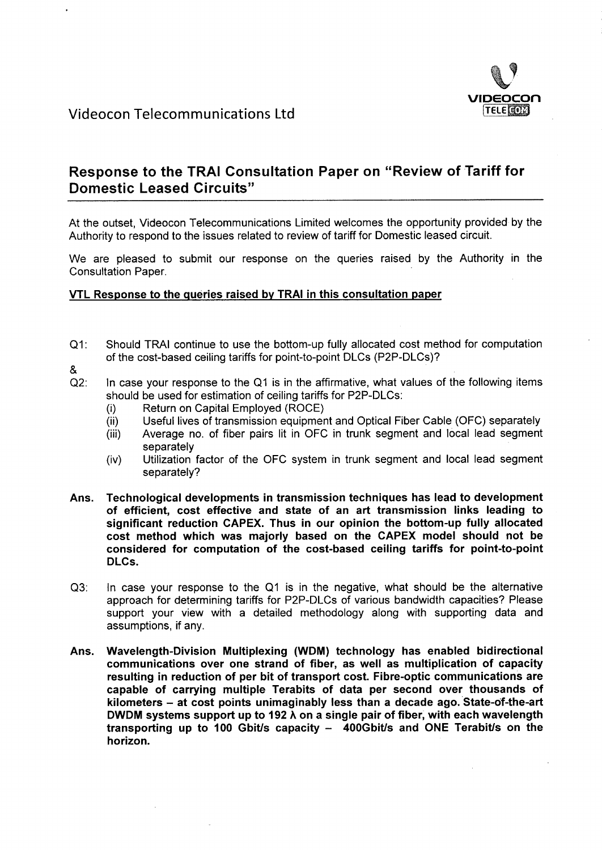

# **Response to the TRAI Consultation Paper on "Review of Tariff for Domestic Leased Circuits"**

At the outset, Videocon Telecommunications Limited welcomes the opportunity provided by the Authority to respond to the issues related to review of tariff for Domestic leased circuit.

We are pleased to submit our response on the queries raised by the Authority in the Consultation Paper.

### **VTL Response to the queries raised by TRAI in this consultation paper**

- $Q1$ : Should TRAI continue to use the bottom-up fully allocated cost method for computation of the cost-based ceiling tariffs for point-to-point DLCs (P2P-DLCs)?
- &
- In case your response to the Q1 is in the affirmative, what values of the following items  $Q2$ : should be used for estimation of ceiling tariffs for P2P-DLCs:
	- $(i)$ Return on Capital Employed (ROCE)
	- Useful lives of transmission equipment and Optical Fiber Cable (OFC) separately  $(ii)$
	- Average no. of fiber pairs lit in OFC in trunk segment and local lead segment  $(iii)$ separately
	- $(iv)$ Utilization factor of the OFC system in trunk segment and local lead segment separately?
- **Ans. Technological developments in transmission techniques has lead to development of efficient, cost effective and state of an art transmission links leading to significant reduction CAPEX. Thus in our opinion the bottom-up fully allocated cost method which was majorly based on the CAPEX model should not be considered for computation of the cost-based ceiling tariffs for point-to-point DLCs.**
- Q3: In case your response to the Q1 is in the negative, what should be the alternative approach for determining tariffs for P2P-DLCs of various bandwidth capacities? Please support your view with a detailed methodology along with supporting data and assumptions, if any.
- **Ans. Wavelength-Division Multiplexing (WDM) technology has enabled bidirectional communications over one strand of fiber, as well as multiplication of capacity resulting in reduction of per bit of transport cost. Fibre-optic communications are capable of carrying multiple Terabits of data per second over thousands of kilometers — at cost points unimaginably less than a decade ago. State-df-the-art DWDM systems support up to 192 A on a single pair of fiber, with each wavelength transporting up to 100 Gbit/s capacity — 400Gbit/s and ONE Terabits on the horizon.**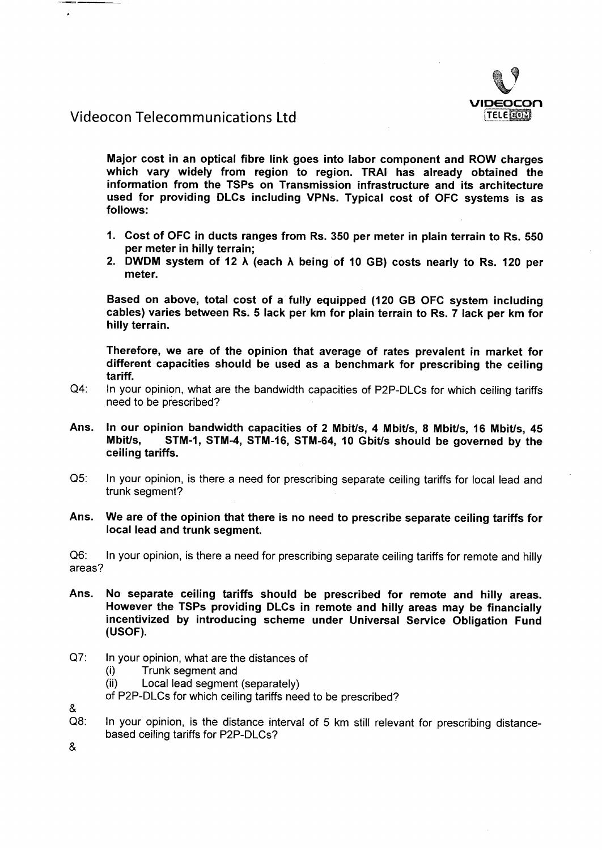

## Videocon Telecommunications Ltd

**Major cost in an optical fibre link goes into labor component and ROW charges which vary widely from region to region. TRAI has already obtained the information from the TSPs on Transmission infrastructure and its architecture used for providing DLCs including VPNs. Typical cost of OFC systems is as follows:**

- **Cost of OFC in ducts ranges from Rs. 350 per meter in plain terrain to Rs. 550 per meter in hilly terrain;**
- **DWDM system of 12 A (each A being of 10 GB) costs nearly to Rs. 120 per meter.**

**Based on above, total cost of a fully equipped (120 GB OFC system including cables) varies between Rs. 5 lack per km for plain terrain to Rs. 7 lack per km for hilly terrain.**

**Therefore, we are of the opinion that average of rates prevalent in market for different capacities should be used as a benchmark for prescribing the ceiling tariff.**

- $Q4$ : In your opinion, what are the bandwidth capacities of P2P-DLCs for which ceiling tariffs need to be prescribed?
- **Ans. In our opinion bandwidth capacities of 2 Mbit/s, 4 Mbit/s, 8 Mbit/s, 16 Mbit/s, 45 Mbit/s, STM-1, STM-4, STM-16, STM-64, 10 Gbit/s should be governed by the ceiling tariffs.**
- $Q5$ : In your opinion, is there a need for prescribing separate ceiling tariffs for local lead and trunk segment?

#### **Ans. We are of the opinion that there is no need to prescribe separate ceiling tariffs for local lead and trunk segment.**

 $Q6$ : In your opinion, is there a need for prescribing separate ceiling tariffs for remote and hilly areas?

- **Ans. No separate ceiling tariffs should be prescribed for remote and hilly areas. However the TSPs providing DLCs in remote and hilly areas may be financially incentivized by introducing scheme under Universal Service Obligation Fund (USOF).**
- $Q7$ : In your opinion, what are the distances of
	- Trunk segment and  $(i)$
	- Local lead segment (separately)  $(ii)$

of P2P-DLCs for which ceiling tariffs need to be prescribed?

&

Q8: In your opinion, is the distance interval of 5 km still relevant for prescribing distancebased ceiling tariffs for P2P-DLCs?

 $\boldsymbol{\alpha}$